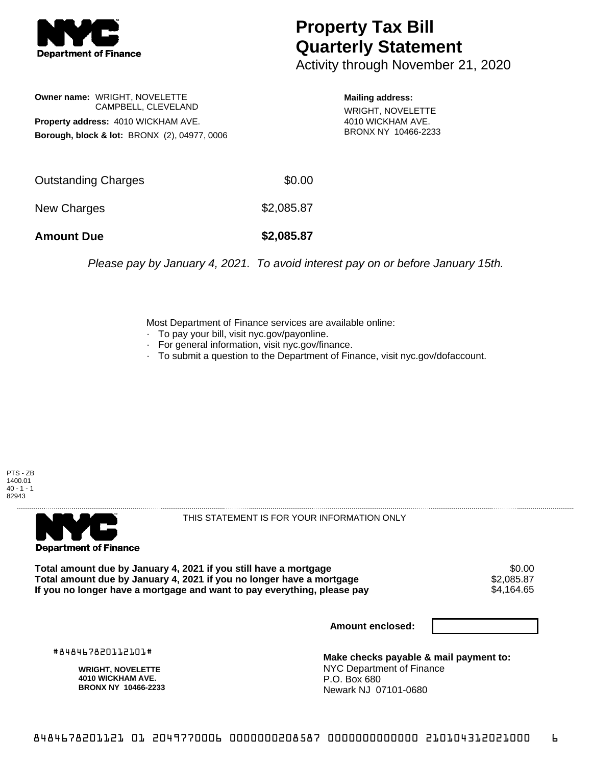

## **Property Tax Bill Quarterly Statement**

Activity through November 21, 2020

**Owner name:** WRIGHT, NOVELETTE CAMPBELL, CLEVELAND **Property address:** 4010 WICKHAM AVE. **Borough, block & lot:** BRONX (2), 04977, 0006

**Mailing address:**

WRIGHT, NOVELETTE 4010 WICKHAM AVE. BRONX NY 10466-2233

| <b>Amount Due</b>   | \$2,085.87 |
|---------------------|------------|
| New Charges         | \$2,085.87 |
| Outstanding Charges | \$0.00     |

Please pay by January 4, 2021. To avoid interest pay on or before January 15th.

Most Department of Finance services are available online:

- · To pay your bill, visit nyc.gov/payonline.
- For general information, visit nyc.gov/finance.
- · To submit a question to the Department of Finance, visit nyc.gov/dofaccount.

PTS - ZB 1400.01  $40 - 1 - 1$ 82943



THIS STATEMENT IS FOR YOUR INFORMATION ONLY

Total amount due by January 4, 2021 if you still have a mortgage \$0.00<br>Total amount due by January 4, 2021 if you no longer have a mortgage \$2.085.87 **Total amount due by January 4, 2021 if you no longer have a mortgage**  $$2,085.87$ **<br>If you no longer have a mortgage and want to pay everything, please pay**  $\$4,161.65$ If you no longer have a mortgage and want to pay everything, please pay

**Amount enclosed:**

#848467820112101#

**WRIGHT, NOVELETTE 4010 WICKHAM AVE. BRONX NY 10466-2233**

**Make checks payable & mail payment to:** NYC Department of Finance P.O. Box 680 Newark NJ 07101-0680